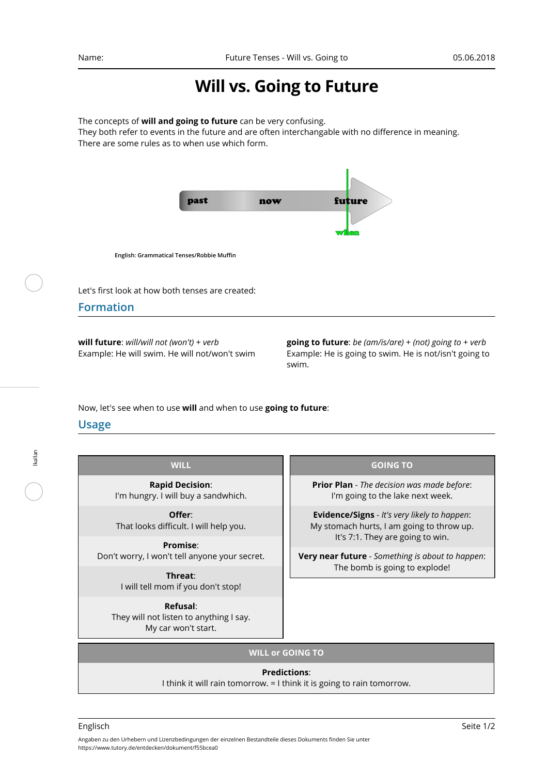# **Will vs. Going to Future**

The concepts of **will and going to future** can be very confusing.

They both refer to events in the future and are often interchangable with no difference in meaning. There are some rules as to when use which form.



**English: Grammatical Tenses/Robbie Muffin**

Let's first look at how both tenses are created:

## **Formation**

**will future**: *will/will not (won't)* + *verb* Example: He will swim. He will not/won't swim **going to future**: *be (am/is/are)* + *(not) going to* + *verb* Example: He is going to swim. He is not/isn't going to swim.

Now, let's see when to use **will** and when to use **going to future**:

# **Usage**

lkallan

| <b>WILL</b>                                                                | <b>GOING TO</b>                                                                                                                                                                                                                  |
|----------------------------------------------------------------------------|----------------------------------------------------------------------------------------------------------------------------------------------------------------------------------------------------------------------------------|
| <b>Rapid Decision:</b><br>I'm hungry. I will buy a sandwhich.              | <b>Prior Plan</b> - The decision was made before:<br>I'm going to the lake next week.                                                                                                                                            |
| Offer:<br>That looks difficult. I will help you.                           | <b>Evidence/Signs</b> - It's very likely to happen:<br>My stomach hurts, I am going to throw up.<br>It's 7:1. They are going to win.<br><b>Very near future</b> - Something is about to happen:<br>The bomb is going to explode! |
| Promise:<br>Don't worry, I won't tell anyone your secret.                  |                                                                                                                                                                                                                                  |
| Threat:<br>I will tell mom if you don't stop!                              |                                                                                                                                                                                                                                  |
| Refusal:<br>They will not listen to anything I say.<br>My car won't start. |                                                                                                                                                                                                                                  |

### **WILL or GOING TO**

### **Predictions**:

I think it will rain tomorrow. = I think it is going to rain tomorrow.

Angaben zu den Urhebern und Lizenzbedingungen der einzelnen Bestandteile dieses Dokuments finden Sie unter https://www.tutory.de/entdecken/dokument/f55bcea0